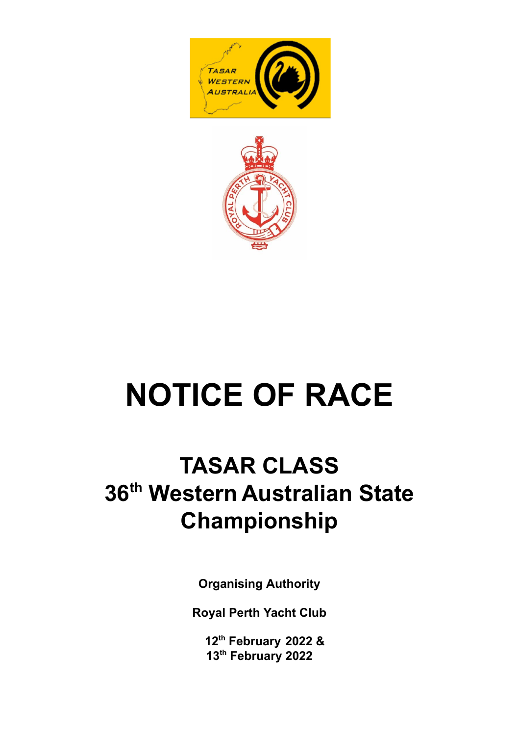



# **NOTICE OF RACE**

# **TASAR CLASS 36 th Western Australian State Championship**

**Organising Authority**

**Royal Perth Yacht Club**

**12 th February 2022 & 13 th February 2022**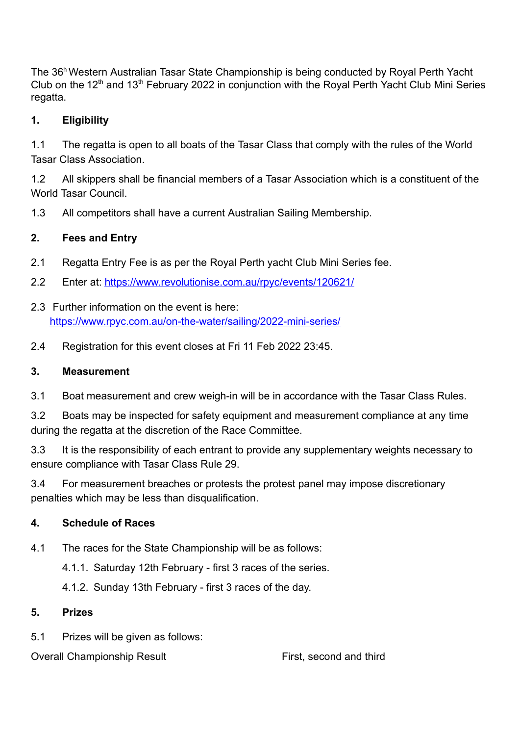The 36<sup>h</sup> Western Australian Tasar State Championship is being conducted by Royal Perth Yacht Club on the 12<sup>th</sup> and 13<sup>th</sup> February 2022 in conjunction with the Royal Perth Yacht Club Mini Series regatta.

#### **1. Eligibility**

1.1 The regatta is open to all boats of the Tasar Class that comply with the rules of the World Tasar Class Association.

1.2 All skippers shall be financial members of a Tasar Association which is a constituent of the World Tasar Council.

1.3 All competitors shall have a current Australian Sailing Membership.

### **2. Fees and Entry**

- 2.1 Regatta Entry Fee is as per the Royal Perth yacht Club Mini Series fee.
- 2.2 Enter at: <https://www.revolutionise.com.au/rpyc/events/120621/>
- 2.3 Further information on the event is here: <https://www.rpyc.com.au/on-the-water/sailing/2022-mini-series/>
- 2.4 Registration for this event closes at Fri 11 Feb 2022 23:45.

#### **3. Measurement**

3.1 Boat measurement and crew weigh-in will be in accordance with the Tasar Class Rules.

3.2 Boats may be inspected for safety equipment and measurement compliance at any time during the regatta at the discretion of the Race Committee.

3.3 It is the responsibility of each entrant to provide any supplementary weights necessary to ensure compliance with Tasar Class Rule 29.

3.4 For measurement breaches or protests the protest panel may impose discretionary penalties which may be less than disqualification.

## **4. Schedule of Races**

4.1 The races for the State Championship will be as follows:

4.1.1. Saturday 12th February - first 3 races of the series.

4.1.2. Sunday 13th February - first 3 races of the day.

#### **5. Prizes**

5.1 Prizes will be given as follows:

Overall Championship Result First, second and third